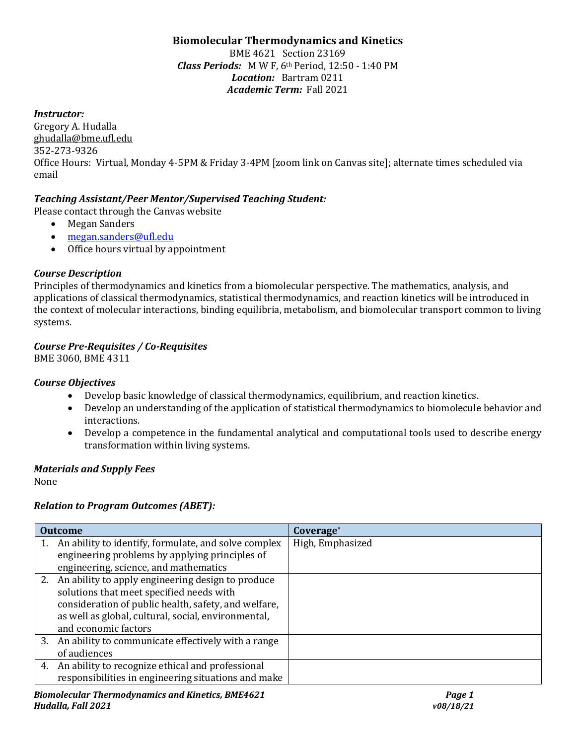## **Biomolecular Thermodynamics and Kinetics**

BME 4621 Section 23169 *Class Periods:* M W F, 6th Period, 12:50 - 1:40 PM *Location:* Bartram 0211 *Academic Term:* Fall 2021

### *Instructor:*

Gregory A. Hudalla ghudalla@bme.ufl.edu 352-273-9326 Office Hours: Virtual, Monday 4-5PM & Friday 3-4PM [zoom link on Canvas site]; alternate times scheduled via email

### *Teaching Assistant/Peer Mentor/Supervised Teaching Student:*

Please contact through the Canvas website

- Megan Sanders
- [megan.sanders@ufl.edu](mailto:megan.sanders@ufl.edu)
- Office hours virtual by appointment

### *Course Description*

Principles of thermodynamics and kinetics from a biomolecular perspective. The mathematics, analysis, and applications of classical thermodynamics, statistical thermodynamics, and reaction kinetics will be introduced in the context of molecular interactions, binding equilibria, metabolism, and biomolecular transport common to living systems.

### *Course Pre-Requisites / Co-Requisites*

BME 3060, BME 4311

### *Course Objectives*

- Develop basic knowledge of classical thermodynamics, equilibrium, and reaction kinetics.
- Develop an understanding of the application of statistical thermodynamics to biomolecule behavior and interactions.
- Develop a competence in the fundamental analytical and computational tools used to describe energy transformation within living systems.

### *Materials and Supply Fees*

None

### *Relation to Program Outcomes (ABET):*

| <b>Outcome</b> |                                                       | Coverage*        |
|----------------|-------------------------------------------------------|------------------|
|                | An ability to identify, formulate, and solve complex  | High, Emphasized |
|                | engineering problems by applying principles of        |                  |
|                | engineering, science, and mathematics                 |                  |
|                | 2. An ability to apply engineering design to produce  |                  |
|                | solutions that meet specified needs with              |                  |
|                | consideration of public health, safety, and welfare,  |                  |
|                | as well as global, cultural, social, environmental,   |                  |
|                | and economic factors                                  |                  |
|                | 3. An ability to communicate effectively with a range |                  |
|                | of audiences                                          |                  |
| 4.             | An ability to recognize ethical and professional      |                  |
|                | responsibilities in engineering situations and make   |                  |
|                |                                                       |                  |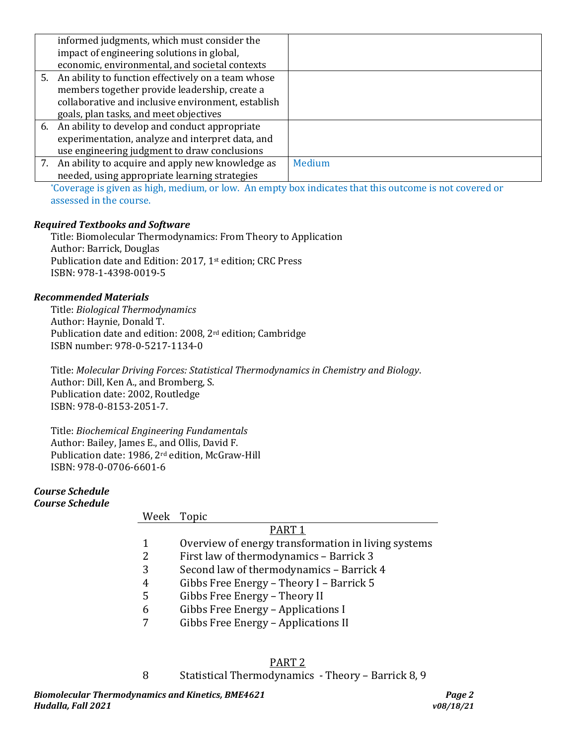| informed judgments, which must consider the           |        |
|-------------------------------------------------------|--------|
| impact of engineering solutions in global,            |        |
| economic, environmental, and societal contexts        |        |
| 5. An ability to function effectively on a team whose |        |
| members together provide leadership, create a         |        |
| collaborative and inclusive environment, establish    |        |
| goals, plan tasks, and meet objectives                |        |
| 6. An ability to develop and conduct appropriate      |        |
| experimentation, analyze and interpret data, and      |        |
| use engineering judgment to draw conclusions          |        |
| 7. An ability to acquire and apply new knowledge as   | Medium |
| needed, using appropriate learning strategies         |        |

\*Coverage is given as high, medium, or low. An empty box indicates that this outcome is not covered or assessed in the course.

#### *Required Textbooks and Software*

Title: Biomolecular Thermodynamics: From Theory to Application Author: Barrick, Douglas Publication date and Edition: 2017, 1st edition; CRC Press ISBN: 978-1-4398-0019-5

#### *Recommended Materials*

Title: *Biological Thermodynamics* Author: Haynie, Donald T. Publication date and edition: 2008, 2rd edition; Cambridge ISBN number: 978-0-5217-1134-0

Title: *Molecular Driving Forces: Statistical Thermodynamics in Chemistry and Biology*. Author: Dill, Ken A., and Bromberg, S. Publication date: 2002, Routledge ISBN: 978-0-8153-2051-7.

Title: *Biochemical Engineering Fundamentals* Author: Bailey, James E., and Ollis, David F. Publication date: 1986, 2rd edition, McGraw-Hill ISBN: 978-0-0706-6601-6

#### *Course Schedule Course Schedule*

### Week Topic

### PART 1

- 1 Overview of energy transformation in living systems<br>2 First law of thermodynamics Barrick 3
- 2 First law of thermodynamics Barrick 3
- 3 Second law of thermodynamics Barrick 4<br>4 Gibbs Free Energy Theory I Barrick 5
- 4 Gibbs Free Energy Theory I Barrick 5
- 5 Gibbs Free Energy Theory II<br>6 Gibbs Free Energy Applicatio
- 6 Gibbs Free Energy Applications I<br>7 Gibbs Free Energy Applications II
- Gibbs Free Energy Applications II

# PART 2

# 8 Statistical Thermodynamics - Theory – Barrick 8, 9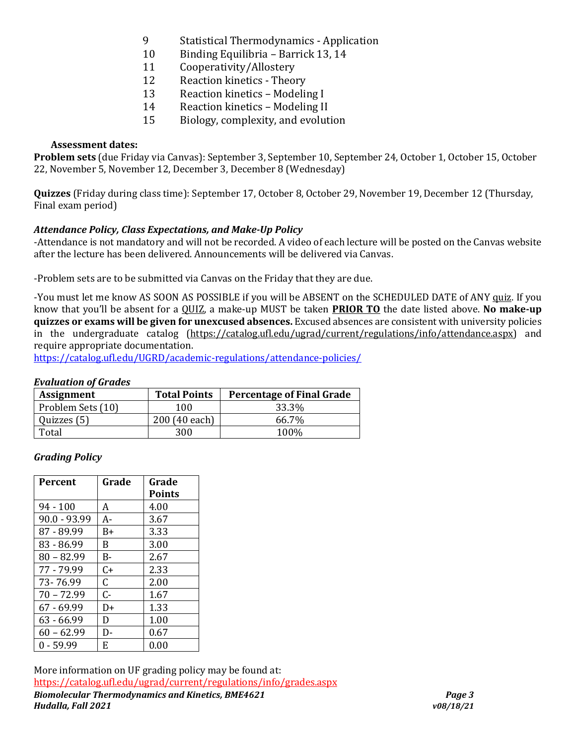- 9 Statistical Thermodynamics Application<br>10 Binding Equilibria Barrick 13.14
- 10 Binding Equilibria Barrick 13, 14<br>11 Cooperativity/Allostery
- 11 Cooperativity/Allostery<br>12 Reaction kinetics Theo
- 12 Reaction kinetics Theory<br>13 Reaction kinetics Modeli
- 13 Reaction kinetics Modeling I<br>14 Reaction kinetics Modeling II
- 14 Reaction kinetics Modeling II<br>15 Biology, complexity, and evolut
- 15 Biology, complexity, and evolution

### **Assessment dates:**

**Problem sets** (due Friday via Canvas): September 3, September 10, September 24, October 1, October 15, October 22, November 5, November 12, December 3, December 8 (Wednesday)

**Quizzes** (Friday during class time): September 17, October 8, October 29, November 19, December 12 (Thursday, Final exam period)

### *Attendance Policy, Class Expectations, and Make-Up Policy*

-Attendance is not mandatory and will not be recorded. A video of each lecture will be posted on the Canvas website after the lecture has been delivered. Announcements will be delivered via Canvas.

-Problem sets are to be submitted via Canvas on the Friday that they are due.

-You must let me know AS SOON AS POSSIBLE if you will be ABSENT on the SCHEDULED DATE of ANY quiz. If you know that you'll be absent for a QUIZ, a make-up MUST be taken **PRIOR TO** the date listed above. **No make-up quizzes or exams will be given for unexcused absences.** Excused absences are consistent with university policies in the undergraduate catalog [\(https://catalog.ufl.edu/ugrad/current/regulations/info/attendance.aspx\)](https://catalog.ufl.edu/ugrad/current/regulations/info/attendance.aspx) and require appropriate documentation.

<https://catalog.ufl.edu/UGRD/academic-regulations/attendance-policies/>

### *Evaluation of Grades*

| <b>Assignment</b> | <b>Total Points</b> | <b>Percentage of Final Grade</b> |
|-------------------|---------------------|----------------------------------|
| Problem Sets (10) | 100.                | 33.3%                            |
| Quizzes (5)       | 200 (40 each)       | 66.7%                            |
| Total             | 300                 | 100 <sub>%</sub>                 |

### *Grading Policy*

| Percent      | Grade | Grade         |
|--------------|-------|---------------|
|              |       | <b>Points</b> |
| $94 - 100$   | A     | 4.00          |
| 90.0 - 93.99 | A-    | 3.67          |
| 87 - 89.99   | B+    | 3.33          |
| 83 - 86.99   | B     | 3.00          |
| $80 - 82.99$ | B-    | 2.67          |
| 77 - 79.99   | C+    | 2.33          |
| 73-76.99     | C.    | 2.00          |
| $70 - 72.99$ | $C -$ | 1.67          |
| $67 - 69.99$ | D+    | 1.33          |
| 63 - 66.99   | D     | 1.00          |
| $60 - 62.99$ | D-    | 0.67          |
| $0 - 59.99$  | E     | 0.00          |

*Biomolecular Thermodynamics and Kinetics, BME4621 Page 3 Hudalla, Fall 2021 v08/18/21* More information on UF grading policy may be found at: <https://catalog.ufl.edu/ugrad/current/regulations/info/grades.aspx>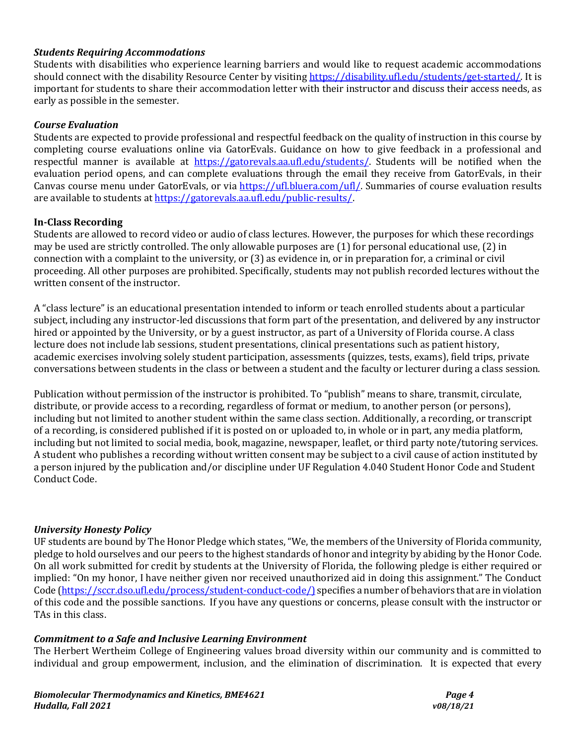### *Students Requiring Accommodations*

Students with disabilities who experience learning barriers and would like to request academic accommodations should connect with the disability Resource Center by visiting [https://disability.ufl.edu/students/get-started/.](https://disability.ufl.edu/students/get-started/) It is important for students to share their accommodation letter with their instructor and discuss their access needs, as early as possible in the semester.

### *Course Evaluation*

Students are expected to provide professional and respectful feedback on the quality of instruction in this course by completing course evaluations online via GatorEvals. Guidance on how to give feedback in a professional and respectful manner is available at [https://gatorevals.aa.ufl.edu/students/.](https://gatorevals.aa.ufl.edu/students/) Students will be notified when the evaluation period opens, and can complete evaluations through the email they receive from GatorEvals, in their Canvas course menu under GatorEvals, or via [https://ufl.bluera.com/ufl/.](https://ufl.bluera.com/ufl/) Summaries of course evaluation results are available to students a[t https://gatorevals.aa.ufl.edu/public-results/.](https://gatorevals.aa.ufl.edu/public-results/)

#### **In-Class Recording**

Students are allowed to record video or audio of class lectures. However, the purposes for which these recordings may be used are strictly controlled. The only allowable purposes are (1) for personal educational use, (2) in connection with a complaint to the university, or (3) as evidence in, or in preparation for, a criminal or civil proceeding. All other purposes are prohibited. Specifically, students may not publish recorded lectures without the written consent of the instructor.

A "class lecture" is an educational presentation intended to inform or teach enrolled students about a particular subject, including any instructor-led discussions that form part of the presentation, and delivered by any instructor hired or appointed by the University, or by a guest instructor, as part of a University of Florida course. A class lecture does not include lab sessions, student presentations, clinical presentations such as patient history, academic exercises involving solely student participation, assessments (quizzes, tests, exams), field trips, private conversations between students in the class or between a student and the faculty or lecturer during a class session.

Publication without permission of the instructor is prohibited. To "publish" means to share, transmit, circulate, distribute, or provide access to a recording, regardless of format or medium, to another person (or persons), including but not limited to another student within the same class section. Additionally, a recording, or transcript of a recording, is considered published if it is posted on or uploaded to, in whole or in part, any media platform, including but not limited to social media, book, magazine, newspaper, leaflet, or third party note/tutoring services. A student who publishes a recording without written consent may be subject to a civil cause of action instituted by a person injured by the publication and/or discipline under UF Regulation 4.040 Student Honor Code and Student Conduct Code.

#### *University Honesty Policy*

UF students are bound by The Honor Pledge which states, "We, the members of the University of Florida community, pledge to hold ourselves and our peers to the highest standards of honor and integrity by abiding by the Honor Code. On all work submitted for credit by students at the University of Florida, the following pledge is either required or implied: "On my honor, I have neither given nor received unauthorized aid in doing this assignment." The Conduct Code [\(https://sccr.dso.ufl.edu/process/student-conduct-code/\)](https://sccr.dso.ufl.edu/process/student-conduct-code/) specifies a number of behaviors that are in violation of this code and the possible sanctions. If you have any questions or concerns, please consult with the instructor or TAs in this class.

#### *Commitment to a Safe and Inclusive Learning Environment*

The Herbert Wertheim College of Engineering values broad diversity within our community and is committed to individual and group empowerment, inclusion, and the elimination of discrimination. It is expected that every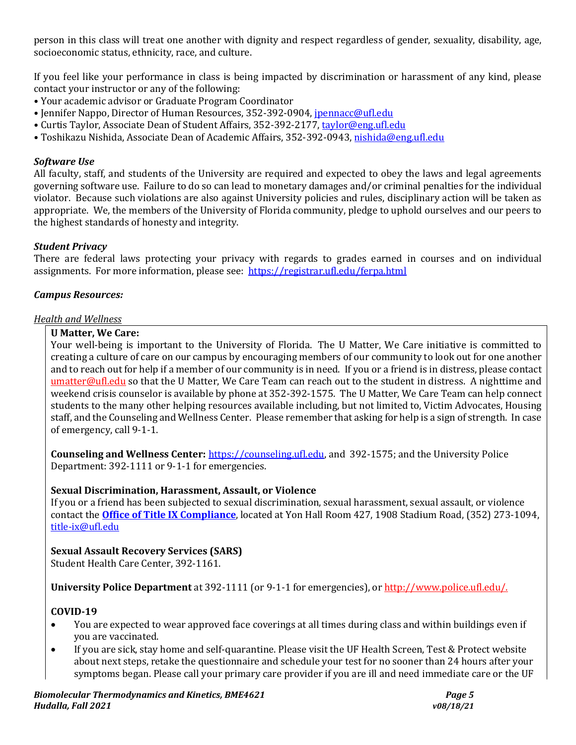person in this class will treat one another with dignity and respect regardless of gender, sexuality, disability, age, socioeconomic status, ethnicity, race, and culture.

If you feel like your performance in class is being impacted by discrimination or harassment of any kind, please contact your instructor or any of the following:

- Your academic advisor or Graduate Program Coordinator
- Jennifer Nappo, Director of Human Resources, 352-392-0904, [jpennacc@ufl.edu](mailto:jpennacc@ufl.edu)
- Curtis Taylor, Associate Dean of Student Affairs, 352-392-2177[, taylor@eng.ufl.edu](mailto:taylor@eng.ufl.edu)
- Toshikazu Nishida, Associate Dean of Academic Affairs, 352-392-0943[, nishida@eng.ufl.edu](mailto:nishida@eng.ufl.edu)

### *Software Use*

All faculty, staff, and students of the University are required and expected to obey the laws and legal agreements governing software use. Failure to do so can lead to monetary damages and/or criminal penalties for the individual violator. Because such violations are also against University policies and rules, disciplinary action will be taken as appropriate. We, the members of the University of Florida community, pledge to uphold ourselves and our peers to the highest standards of honesty and integrity.

### *Student Privacy*

There are federal laws protecting your privacy with regards to grades earned in courses and on individual assignments. For more information, please see: <https://registrar.ufl.edu/ferpa.html>

### *Campus Resources:*

#### *Health and Wellness*

#### **U Matter, We Care:**

Your well-being is important to the University of Florida. The U Matter, We Care initiative is committed to creating a culture of care on our campus by encouraging members of our community to look out for one another and to reach out for help if a member of our community is in need. If you or a friend is in distress, please contact [umatter@ufl.edu](mailto:umatter@ufl.edu) so that the U Matter, We Care Team can reach out to the student in distress. A nighttime and weekend crisis counselor is available by phone at 352-392-1575. The U Matter, We Care Team can help connect students to the many other helping resources available including, but not limited to, Victim Advocates, Housing staff, and the Counseling and Wellness Center. Please remember that asking for help is a sign of strength. In case of emergency, call 9-1-1.

**Counseling and Wellness Center:** [https://counseling.ufl.edu,](https://counseling.ufl.edu/) and 392-1575; and the University Police Department: 392-1111 or 9-1-1 for emergencies.

### **Sexual Discrimination, Harassment, Assault, or Violence**

If you or a friend has been subjected to sexual discrimination, sexual harassment, sexual assault, or violence contact the **[Office of Title IX Compliance](https://titleix.ufl.edu/)**, located at Yon Hall Room 427, 1908 Stadium Road, (352) 273-1094, [title-ix@ufl.edu](mailto:title-ix@ufl.edu)

### **Sexual Assault Recovery Services (SARS)**

Student Health Care Center, 392-1161.

### **University Police Department** at 392-1111 (or 9-1-1 for emergencies), o[r http://www.police.ufl.edu/.](http://www.police.ufl.edu/)

### **COVID-19**

- You are expected to wear approved face coverings at all times during class and within buildings even if you are vaccinated.
- If you are sick, stay home and self-quarantine. Please visit the UF Health Screen, Test & Protect website about next steps, retake the questionnaire and schedule your test for no sooner than 24 hours after your symptoms began. Please call your primary care provider if you are ill and need immediate care or the UF